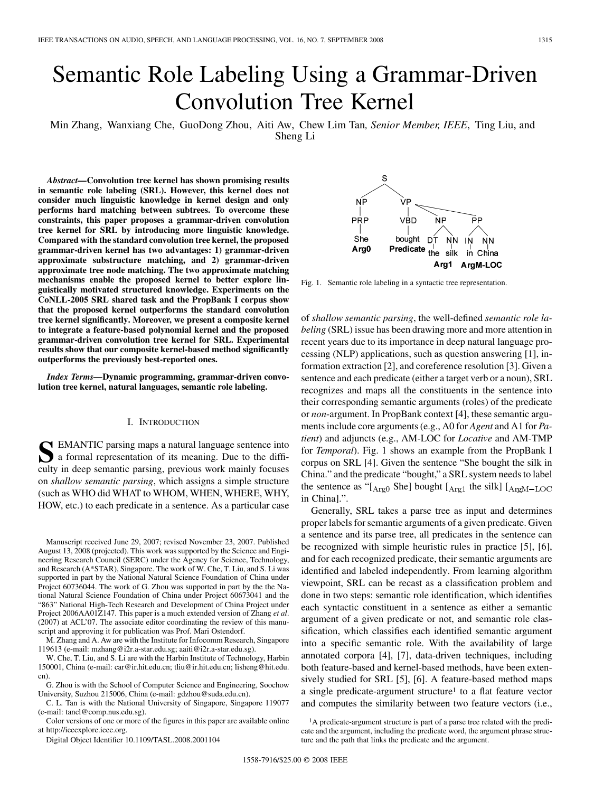# Semantic Role Labeling Using a Grammar-Driven Convolution Tree Kernel

Min Zhang, Wanxiang Che, GuoDong Zhou, Aiti Aw, Chew Lim Tan*, Senior Member, IEEE*, Ting Liu, and Sheng Li

*Abstract—***Convolution tree kernel has shown promising results in semantic role labeling (SRL). However, this kernel does not consider much linguistic knowledge in kernel design and only performs hard matching between subtrees. To overcome these constraints, this paper proposes a grammar-driven convolution tree kernel for SRL by introducing more linguistic knowledge. Compared with the standard convolution tree kernel, the proposed grammar-driven kernel has two advantages: 1) grammar-driven approximate substructure matching, and 2) grammar-driven approximate tree node matching. The two approximate matching mechanisms enable the proposed kernel to better explore linguistically motivated structured knowledge. Experiments on the CoNLL-2005 SRL shared task and the PropBank I corpus show that the proposed kernel outperforms the standard convolution tree kernel significantly. Moreover, we present a composite kernel to integrate a feature-based polynomial kernel and the proposed grammar-driven convolution tree kernel for SRL. Experimental results show that our composite kernel-based method significantly outperforms the previously best-reported ones.**

*Index Terms—***Dynamic programming, grammar-driven convolution tree kernel, natural languages, semantic role labeling.**

# I. INTRODUCTION

**S** EMANTIC parsing maps a natural language sentence into a formal representation of its meaning. Due to the difficulty in deep semantic parsing, previous work mainly focuses on *shallow semantic parsing*, which assigns a simple structure (such as WHO did WHAT to WHOM, WHEN, WHERE, WHY, HOW, etc.) to each predicate in a sentence. As a particular case

Manuscript received June 29, 2007; revised November 23, 2007. Published August 13, 2008 (projected). This work was supported by the Science and Engineering Research Council (SERC) under the Agency for Science, Technology, and Research (A\*STAR), Singapore. The work of W. Che, T. Liu, and S. Li was supported in part by the National Natural Science Foundation of China under Project 60736044. The work of G. Zhou was supported in part by the the National Natural Science Foundation of China under Project 60673041 and the "863" National High-Tech Research and Development of China Project under Project 2006AA01Z147. This paper is a much extended version of Zhang *et al*. (2007) at ACL'07. The associate editor coordinating the review of this manuscript and approving it for publication was Prof. Mari Ostendorf.

M. Zhang and A. Aw are with the Institute for Infocomm Research, Singapore 119613 (e-mail: mzhang@i2r.a-star.edu.sg; aaiti@i2r.a-star.edu.sg).

W. Che, T. Liu, and S. Li are with the Harbin Institute of Technology, Harbin 150001, China (e-mail: car@ir.hit.edu.cn; tliu@ir.hit.edu.cn; lisheng@hit.edu. cn).

G. Zhou is with the School of Computer Science and Engineering, Soochow University, Suzhou 215006, China (e-mail: gdzhou@suda.edu.cn).

C. L. Tan is with the National University of Singapore, Singapore 119077 (e-mail: tancl@comp.nus.edu.sg).

Color versions of one or more of the figures in this paper are available online at http://ieeexplore.ieee.org.

Digital Object Identifier 10.1109/TASL.2008.2001104

 $\mathcal{S}$ **NP** ÙР PRP VBD ÑP РP She bought Arg0 Predicate AraM-LOC

Fig. 1. Semantic role labeling in a syntactic tree representation.

of *shallow semantic parsing*, the well-defined *semantic role labeling* (SRL) issue has been drawing more and more attention in recent years due to its importance in deep natural language processing (NLP) applications, such as question answering [1], information extraction [2], and coreference resolution [3]. Given a sentence and each predicate (either a target verb or a noun), SRL recognizes and maps all the constituents in the sentence into their corresponding semantic arguments (roles) of the predicate or *non*-argument. In PropBank context [4], these semantic arguments include core arguments (e.g., A0 for *Agent* and A1 for *Patient*) and adjuncts (e.g., AM-LOC for *Locative* and AM-TMP for *Temporal*). Fig. 1 shows an example from the PropBank I corpus on SRL [4]. Given the sentence "She bought the silk in China." and the predicate "bought," a SRL system needs to label the sentence as " $[A_{\text{rg}}]$  She] bought  $[A_{\text{rg}}]$  the silk]  $[A_{\text{rg}}]$   $[A_{\text{rg}}]$ in China].".

Generally, SRL takes a parse tree as input and determines proper labels for semantic arguments of a given predicate. Given a sentence and its parse tree, all predicates in the sentence can be recognized with simple heuristic rules in practice [5], [6], and for each recognized predicate, their semantic arguments are identified and labeled independently. From learning algorithm viewpoint, SRL can be recast as a classification problem and done in two steps: semantic role identification, which identifies each syntactic constituent in a sentence as either a semantic argument of a given predicate or not, and semantic role classification, which classifies each identified semantic argument into a specific semantic role. With the availability of large annotated corpora [4], [7], data-driven techniques, including both feature-based and kernel-based methods, have been extensively studied for SRL [5], [6]. A feature-based method maps a single predicate-argument structure1 to a flat feature vector and computes the similarity between two feature vectors (i.e.,



<sup>&</sup>lt;sup>1</sup>A predicate-argument structure is part of a parse tree related with the predicate and the argument, including the predicate word, the argument phrase structure and the path that links the predicate and the argument.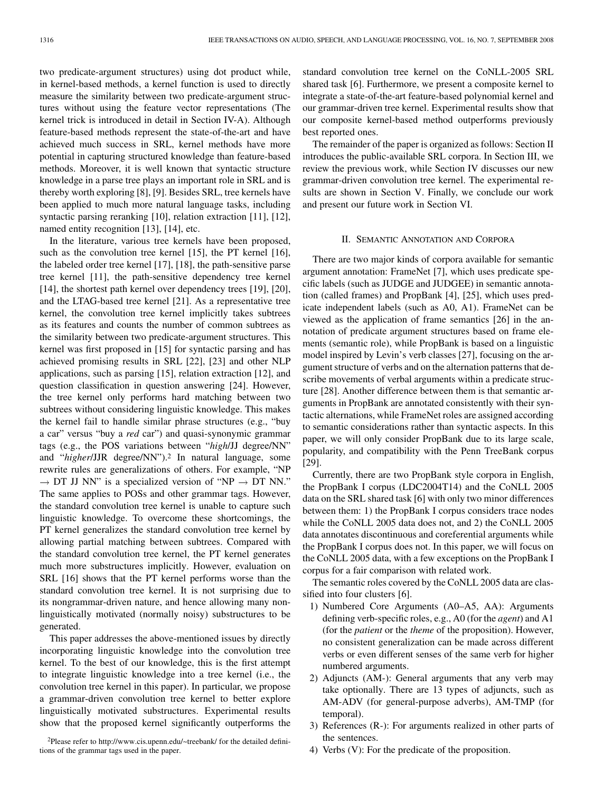two predicate-argument structures) using dot product while, in kernel-based methods, a kernel function is used to directly measure the similarity between two predicate-argument structures without using the feature vector representations (The kernel trick is introduced in detail in Section IV-A). Although feature-based methods represent the state-of-the-art and have achieved much success in SRL, kernel methods have more potential in capturing structured knowledge than feature-based methods. Moreover, it is well known that syntactic structure knowledge in a parse tree plays an important role in SRL and is thereby worth exploring [8], [9]. Besides SRL, tree kernels have been applied to much more natural language tasks, including syntactic parsing reranking [10], relation extraction [11], [12], named entity recognition [13], [14], etc.

In the literature, various tree kernels have been proposed, such as the convolution tree kernel [15], the PT kernel [16], the labeled order tree kernel [17], [18], the path-sensitive parse tree kernel [11], the path-sensitive dependency tree kernel [14], the shortest path kernel over dependency trees [19], [20], and the LTAG-based tree kernel [21]. As a representative tree kernel, the convolution tree kernel implicitly takes subtrees as its features and counts the number of common subtrees as the similarity between two predicate-argument structures. This kernel was first proposed in [15] for syntactic parsing and has achieved promising results in SRL [22], [23] and other NLP applications, such as parsing [15], relation extraction [12], and question classification in question answering [24]. However, the tree kernel only performs hard matching between two subtrees without considering linguistic knowledge. This makes the kernel fail to handle similar phrase structures (e.g., "buy a car" versus "buy a *red* car") and quasi-synonymic grammar tags (e.g., the POS variations between "*high*/JJ degree/NN" and "*higher*/JJR degree/NN").2 In natural language, some rewrite rules are generalizations of others. For example, "NP  $\rightarrow$  DT JJ NN" is a specialized version of "NP  $\rightarrow$  DT NN." The same applies to POSs and other grammar tags. However, the standard convolution tree kernel is unable to capture such linguistic knowledge. To overcome these shortcomings, the PT kernel generalizes the standard convolution tree kernel by allowing partial matching between subtrees. Compared with the standard convolution tree kernel, the PT kernel generates much more substructures implicitly. However, evaluation on SRL [16] shows that the PT kernel performs worse than the standard convolution tree kernel. It is not surprising due to its nongrammar-driven nature, and hence allowing many nonlinguistically motivated (normally noisy) substructures to be generated.

This paper addresses the above-mentioned issues by directly incorporating linguistic knowledge into the convolution tree kernel. To the best of our knowledge, this is the first attempt to integrate linguistic knowledge into a tree kernel (i.e., the convolution tree kernel in this paper). In particular, we propose a grammar-driven convolution tree kernel to better explore linguistically motivated substructures. Experimental results show that the proposed kernel significantly outperforms the

2Please refer to http://www.cis.upenn.edu/~treebank/ for the detailed definitions of the grammar tags used in the paper.

standard convolution tree kernel on the CoNLL-2005 SRL shared task [6]. Furthermore, we present a composite kernel to integrate a state-of-the-art feature-based polynomial kernel and our grammar-driven tree kernel. Experimental results show that our composite kernel-based method outperforms previously best reported ones.

The remainder of the paper is organized as follows: Section II introduces the public-available SRL corpora. In Section III, we review the previous work, while Section IV discusses our new grammar-driven convolution tree kernel. The experimental results are shown in Section V. Finally, we conclude our work and present our future work in Section VI.

# II. SEMANTIC ANNOTATION AND CORPORA

There are two major kinds of corpora available for semantic argument annotation: FrameNet [7], which uses predicate specific labels (such as JUDGE and JUDGEE) in semantic annotation (called frames) and PropBank [4], [25], which uses predicate independent labels (such as A0, A1). FrameNet can be viewed as the application of frame semantics [26] in the annotation of predicate argument structures based on frame elements (semantic role), while PropBank is based on a linguistic model inspired by Levin's verb classes [27], focusing on the argument structure of verbs and on the alternation patterns that describe movements of verbal arguments within a predicate structure [28]. Another difference between them is that semantic arguments in PropBank are annotated consistently with their syntactic alternations, while FrameNet roles are assigned according to semantic considerations rather than syntactic aspects. In this paper, we will only consider PropBank due to its large scale, popularity, and compatibility with the Penn TreeBank corpus [29].

Currently, there are two PropBank style corpora in English, the PropBank I corpus (LDC2004T14) and the CoNLL 2005 data on the SRL shared task [6] with only two minor differences between them: 1) the PropBank I corpus considers trace nodes while the CoNLL 2005 data does not, and 2) the CoNLL 2005 data annotates discontinuous and coreferential arguments while the PropBank I corpus does not. In this paper, we will focus on the CoNLL 2005 data, with a few exceptions on the PropBank I corpus for a fair comparison with related work.

The semantic roles covered by the CoNLL 2005 data are classified into four clusters [6].

- 1) Numbered Core Arguments (A0–A5, AA): Arguments defining verb-specific roles, e.g., A0 (for the *agent*) and A1 (for the *patient* or the *theme* of the proposition). However, no consistent generalization can be made across different verbs or even different senses of the same verb for higher numbered arguments.
- 2) Adjuncts (AM-): General arguments that any verb may take optionally. There are 13 types of adjuncts, such as AM-ADV (for general-purpose adverbs), AM-TMP (for temporal).
- 3) References (R-): For arguments realized in other parts of the sentences.
- 4) Verbs (V): For the predicate of the proposition.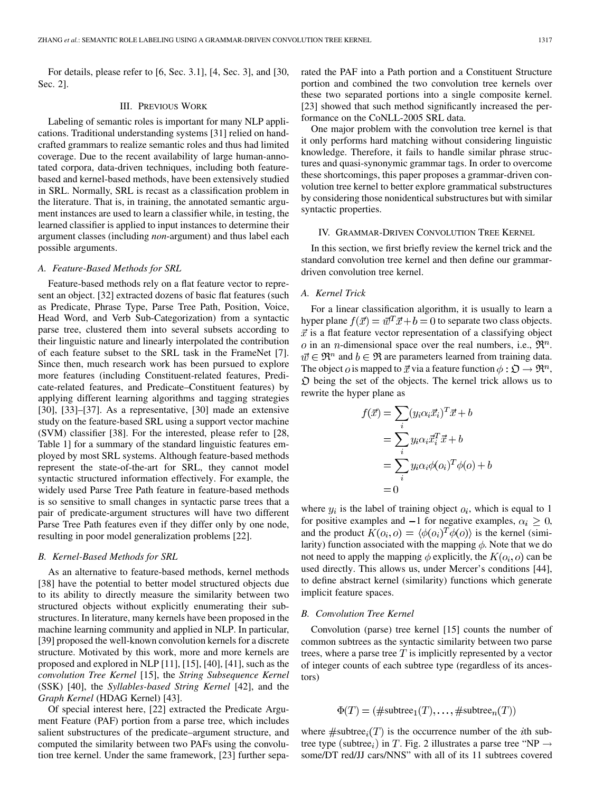For details, please refer to [6, Sec. 3.1], [4, Sec. 3], and [30, Sec. 2].

# III. PREVIOUS WORK

Labeling of semantic roles is important for many NLP applications. Traditional understanding systems [31] relied on handcrafted grammars to realize semantic roles and thus had limited coverage. Due to the recent availability of large human-annotated corpora, data-driven techniques, including both featurebased and kernel-based methods, have been extensively studied in SRL. Normally, SRL is recast as a classification problem in the literature. That is, in training, the annotated semantic argument instances are used to learn a classifier while, in testing, the learned classifier is applied to input instances to determine their argument classes (including *non*-argument) and thus label each possible arguments.

# *A. Feature-Based Methods for SRL*

Feature-based methods rely on a flat feature vector to represent an object. [32] extracted dozens of basic flat features (such as Predicate, Phrase Type, Parse Tree Path, Position, Voice, Head Word, and Verb Sub-Categorization) from a syntactic parse tree, clustered them into several subsets according to their linguistic nature and linearly interpolated the contribution of each feature subset to the SRL task in the FrameNet [7]. Since then, much research work has been pursued to explore more features (including Constituent-related features, Predicate-related features, and Predicate–Constituent features) by applying different learning algorithms and tagging strategies [30], [33]–[37]. As a representative, [30] made an extensive study on the feature-based SRL using a support vector machine (SVM) classifier [38]. For the interested, please refer to [28, Table 1] for a summary of the standard linguistic features employed by most SRL systems. Although feature-based methods represent the state-of-the-art for SRL, they cannot model syntactic structured information effectively. For example, the widely used Parse Tree Path feature in feature-based methods is so sensitive to small changes in syntactic parse trees that a pair of predicate-argument structures will have two different Parse Tree Path features even if they differ only by one node, resulting in poor model generalization problems [22].

# *B. Kernel-Based Methods for SRL*

As an alternative to feature-based methods, kernel methods [38] have the potential to better model structured objects due to its ability to directly measure the similarity between two structured objects without explicitly enumerating their substructures. In literature, many kernels have been proposed in the machine learning community and applied in NLP. In particular, [39] proposed the well-known convolution kernels for a discrete structure. Motivated by this work, more and more kernels are proposed and explored in NLP [11], [15], [40], [41], such as the *convolution Tree Kernel* [15], the *String Subsequence Kernel* (SSK) [40], the *Syllables-based String Kernel* [42], and the *Graph Kernel* (HDAG Kernel) [43].

Of special interest here, [22] extracted the Predicate Argument Feature (PAF) portion from a parse tree, which includes salient substructures of the predicate–argument structure, and computed the similarity between two PAFs using the convolution tree kernel. Under the same framework, [23] further separated the PAF into a Path portion and a Constituent Structure portion and combined the two convolution tree kernels over these two separated portions into a single composite kernel. [23] showed that such method significantly increased the performance on the CoNLL-2005 SRL data.

One major problem with the convolution tree kernel is that it only performs hard matching without considering linguistic knowledge. Therefore, it fails to handle similar phrase structures and quasi-synonymic grammar tags. In order to overcome these shortcomings, this paper proposes a grammar-driven convolution tree kernel to better explore grammatical substructures by considering those nonidentical substructures but with similar syntactic properties.

## IV. GRAMMAR-DRIVEN CONVOLUTION TREE KERNEL

In this section, we first briefly review the kernel trick and the standard convolution tree kernel and then define our grammardriven convolution tree kernel.

# *A. Kernel Trick*

For a linear classification algorithm, it is usually to learn a hyper plane  $f(\vec{x}) = \vec{w}^T \vec{x} + b = 0$  to separate two class objects.  $\vec{x}$  is a flat feature vector representation of a classifying object  $\alpha$  in an *n*-dimensional space over the real numbers, i.e.,  $\mathfrak{R}^n$ .  $\vec{w} \in \mathfrak{R}^n$  and  $b \in \mathfrak{R}$  are parameters learned from training data. The object *o* is mapped to  $\vec{x}$  via a feature function  $\phi : \mathfrak{D} \to \mathfrak{R}^n$ ,  $D$  being the set of the objects. The kernel trick allows us to rewrite the hyper plane as

$$
f(\vec{x}) = \sum_{i} (y_i \alpha_i \vec{x}_i)^T \vec{x} + b
$$
  
= 
$$
\sum_{i} y_i \alpha_i \vec{x}_i^T \vec{x} + b
$$
  
= 
$$
\sum_{i} y_i \alpha_i \phi(\alpha_i)^T \phi(\alpha) + b
$$
  
= 0

where  $y_i$  is the label of training object  $o_i$ , which is equal to 1 for positive examples and  $-1$  for negative examples,  $\alpha_i \geq 0$ , and the product  $K(o_i, o) = \langle \phi(o_i)^T \phi(o) \rangle$  is the kernel (similarity) function associated with the mapping  $\phi$ . Note that we do not need to apply the mapping  $\phi$  explicitly, the  $K(o_i, o)$  can be used directly. This allows us, under Mercer's conditions [44], to define abstract kernel (similarity) functions which generate implicit feature spaces.

# *B. Convolution Tree Kernel*

Convolution (parse) tree kernel [15] counts the number of common subtrees as the syntactic similarity between two parse trees, where a parse tree  $T$  is implicitly represented by a vector of integer counts of each subtree type (regardless of its ancestors)

# $\Phi(T) = (\# \text{subtree}_1(T), \dots, \# \text{subtree}_n(T))$

where  $\#$ subtree  $_i(T)$  is the occurrence number of the *i*th subtree type (subtree<sub>i</sub>) in T. Fig. 2 illustrates a parse tree "NP  $\rightarrow$ some/DT red/JJ cars/NNS" with all of its 11 subtrees covered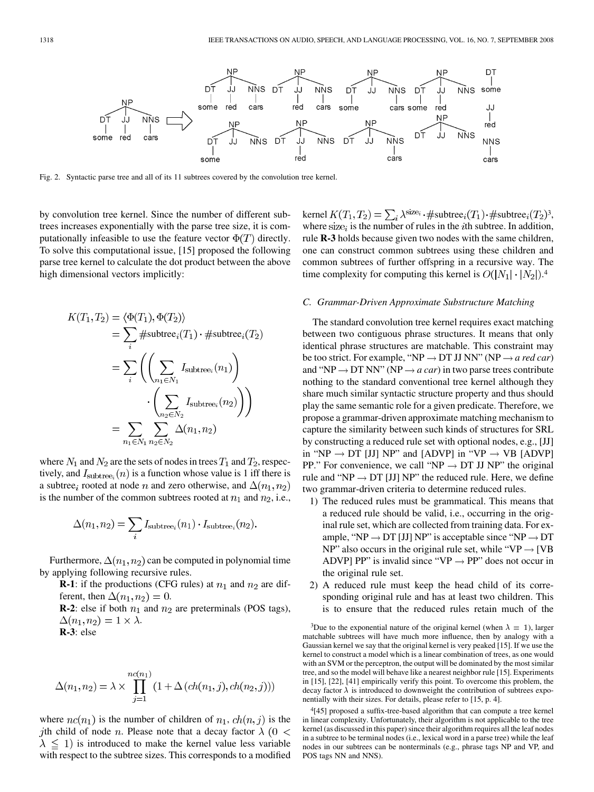

Fig. 2. Syntactic parse tree and all of its 11 subtrees covered by the convolution tree kernel.

by convolution tree kernel. Since the number of different subtrees increases exponentially with the parse tree size, it is computationally infeasible to use the feature vector  $\Phi(T)$  directly. To solve this computational issue, [15] proposed the following parse tree kernel to calculate the dot product between the above high dimensional vectors implicitly:

$$
K(T_1, T_2) = \langle \Phi(T_1), \Phi(T_2) \rangle
$$
  
=  $\sum_i$  #subtree<sub>i</sub>(T<sub>1</sub>) · #subtree<sub>i</sub>(T<sub>2</sub>)  
=  $\sum_i \left( \left( \sum_{n_1 \in N_1} I_{\text{subtree}_i}(n_1) \right) \cdot \left( \sum_{n_2 \in N_2} I_{\text{subtree}_i}(n_2) \right) \right)$   
=  $\sum_{n_1 \in N_1} \sum_{n_2 \in N_2} \Delta(n_1, n_2)$ 

where  $N_1$  and  $N_2$  are the sets of nodes in trees  $T_1$  and  $T_2$ , respectively, and  $I_{\text{subtree}_i}(n)$  is a function whose value is 1 iff there is a subtree<sub>i</sub> rooted at node *n* and zero otherwise, and  $\Delta(n_1, n_2)$ is the number of the common subtrees rooted at  $n_1$  and  $n_2$ , i.e.,

$$
\Delta(n_1, n_2) = \sum_i I_{\text{subtree}_i}(n_1) \cdot I_{\text{subtree}_i}(n_2).
$$

Furthermore,  $\Delta(n_1, n_2)$  can be computed in polynomial time by applying following recursive rules.

**R-1**: if the productions (CFG rules) at  $n_1$  and  $n_2$  are different, then  $\Delta(n_1, n_2) = 0$ .

**R-2**: else if both  $n_1$  and  $n_2$  are preterminals (POS tags),  $\Delta(n_1, n_2) = 1 \times \lambda.$ 

**R-3**: else

$$
\Delta(n_1, n_2) = \lambda \times \prod_{j=1}^{nc(n_1)} (1 + \Delta(ch(n_1, j), ch(n_2, j)))
$$

where  $nc(n_1)$  is the number of children of  $n_1$ ,  $ch(n, j)$  is the jth child of node n. Please note that a decay factor  $\lambda$  (0 <  $\lambda \leq 1$ ) is introduced to make the kernel value less variable with respect to the subtree sizes. This corresponds to a modified

kernel  $K(T_1, T_2) = \sum_i \lambda^{size_i} \cdot \# \text{subtree}_i(T_1) \cdot \# \text{subtree}_i(T_2)^3$ , where  $size_i$  is the number of rules in the *i*th subtree. In addition, rule **R-3** holds because given two nodes with the same children, one can construct common subtrees using these children and common subtrees of further offspring in a recursive way. The time complexity for computing this kernel is  $O(|N_1| \cdot |N_2|)$ .<sup>4</sup>

# *C. Grammar-Driven Approximate Substructure Matching*

The standard convolution tree kernel requires exact matching between two contiguous phrase structures. It means that only identical phrase structures are matchable. This constraint may be too strict. For example, "NP  $\rightarrow$  DT JJ NN" (NP  $\rightarrow$  *a red car*) and "NP  $\rightarrow$  DT NN" (NP  $\rightarrow$  *a car*) in two parse trees contribute nothing to the standard conventional tree kernel although they share much similar syntactic structure property and thus should play the same semantic role for a given predicate. Therefore, we propose a grammar-driven approximate matching mechanism to capture the similarity between such kinds of structures for SRL by constructing a reduced rule set with optional nodes, e.g., [JJ] in "NP  $\rightarrow$  DT [JJ] NP" and [ADVP] in "VP  $\rightarrow$  VB [ADVP] PP." For convenience, we call "NP  $\rightarrow$  DT JJ NP" the original rule and "NP  $\rightarrow$  DT [JJ] NP" the reduced rule. Here, we define two grammar-driven criteria to determine reduced rules.

- 1) The reduced rules must be grammatical. This means that a reduced rule should be valid, i.e., occurring in the original rule set, which are collected from training data. For example, "NP  $\rightarrow$  DT [JJ] NP" is acceptable since "NP  $\rightarrow$  DT NP" also occurs in the original rule set, while "VP  $\rightarrow$  [VB ADVP] PP" is invalid since "VP  $\rightarrow$  PP" does not occur in the original rule set.
- 2) A reduced rule must keep the head child of its corresponding original rule and has at least two children. This is to ensure that the reduced rules retain much of the

<sup>3</sup>Due to the exponential nature of the original kernel (when  $\lambda = 1$ ), larger matchable subtrees will have much more influence, then by analogy with a Gaussian kernel we say that the original kernel is very peaked [15]. If we use the kernel to construct a model which is a linear combination of trees, as one would with an SVM or the perceptron, the output will be dominated by the most similar tree, and so the model will behave like a nearest neighbor rule [15]. Experiments in [15], [22], [41] empirically verify this point. To overcome this problem, the decay factor  $\lambda$  is introduced to downweight the contribution of subtrees exponentially with their sizes. For details, please refer to [15, p. 4].

4[45] proposed a suffix-tree-based algorithm that can compute a tree kernel in linear complexity. Unfortunately, their algorithm is not applicable to the tree kernel (as discussed in this paper) since their algorithm requires all the leaf nodes in a subtree to be terminal nodes (i.e., lexical word in a parse tree) while the leaf nodes in our subtrees can be nonterminals (e.g., phrase tags NP and VP, and POS tags NN and NNS).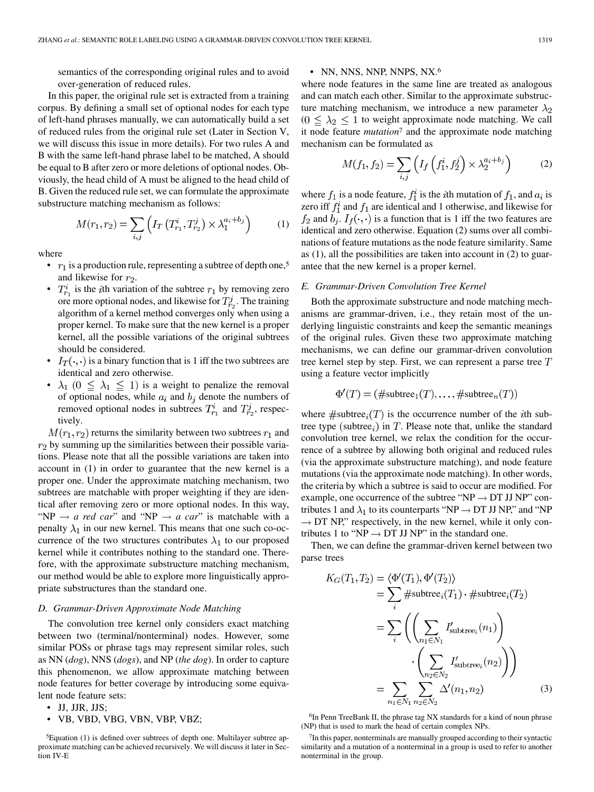semantics of the corresponding original rules and to avoid over-generation of reduced rules.

In this paper, the original rule set is extracted from a training corpus. By defining a small set of optional nodes for each type of left-hand phrases manually, we can automatically build a set of reduced rules from the original rule set (Later in Section V, we will discuss this issue in more details). For two rules A and B with the same left-hand phrase label to be matched, A should be equal to B after zero or more deletions of optional nodes. Obviously, the head child of A must be aligned to the head child of B. Given the reduced rule set, we can formulate the approximate substructure matching mechanism as follows:

$$
M(r_1, r_2) = \sum_{i,j} \left( I_T \left( T_{r_1}^i, T_{r_2}^j \right) \times \lambda_1^{a_i + b_j} \right) \tag{1}
$$

where

- $r_1$  is a production rule, representing a subtree of depth one,<sup>5</sup> and likewise for  $r_2$ .
- $T_{r_1}^i$  is the *i*th variation of the subtree  $r_1$  by removing zero ore more optional nodes, and likewise for  $T_{r_2}^j$ . The training algorithm of a kernel method converges only when using a proper kernel. To make sure that the new kernel is a proper kernel, all the possible variations of the original subtrees should be considered.
- $I_T(\cdot, \cdot)$  is a binary function that is 1 iff the two subtrees are identical and zero otherwise.
- $\lambda_1$  ( $0 \leq \lambda_1 \leq 1$ ) is a weight to penalize the removal of optional nodes, while  $a_i$  and  $b_j$  denote the numbers of removed optional nodes in subtrees  $T_{r_1}^i$  and  $T_{r_2}^j$ , respectively.

 $M(r_1, r_2)$  returns the similarity between two subtrees  $r_1$  and  $r<sub>2</sub>$  by summing up the similarities between their possible variations. Please note that all the possible variations are taken into account in (1) in order to guarantee that the new kernel is a proper one. Under the approximate matching mechanism, two subtrees are matchable with proper weighting if they are identical after removing zero or more optional nodes. In this way, "NP  $\rightarrow$  *a red car*" and "NP  $\rightarrow$  *a car*" is matchable with a penalty  $\lambda_1$  in our new kernel. This means that one such co-occurrence of the two structures contributes  $\lambda_1$  to our proposed kernel while it contributes nothing to the standard one. Therefore, with the approximate substructure matching mechanism, our method would be able to explore more linguistically appropriate substructures than the standard one.

## *D. Grammar-Driven Approximate Node Matching*

The convolution tree kernel only considers exact matching between two (terminal/nonterminal) nodes. However, some similar POSs or phrase tags may represent similar roles, such as NN (*dog*), NNS (*dogs*), and NP (*the dog*). In order to capture this phenomenon, we allow approximate matching between node features for better coverage by introducing some equivalent node feature sets:

- JJ, JJR, JJS;
- VB, VBD, VBG, VBN, VBP, VBZ;

# • NN, NNS, NNP, NNPS, NX.<sup>6</sup>

where node features in the same line are treated as analogous and can match each other. Similar to the approximate substructure matching mechanism, we introduce a new parameter  $\lambda_2$  $(0 \leq \lambda_2 \leq 1$  to weight approximate node matching. We call it node feature *mutation*<sup>7</sup> and the approximate node matching mechanism can be formulated as

$$
M(f_1, f_2) = \sum_{i,j} \left( I_f \left( f_1^i, f_2^j \right) \times \lambda_2^{a_i + b_j} \right) \tag{2}
$$

where  $f_1$  is a node feature,  $f_1^i$  is the *i*th mutation of  $f_1$ , and  $a_i$  is zero iff  $f_1^i$  and  $f_1$  are identical and 1 otherwise, and likewise for  $f_2$  and  $b_j$ .  $I_f(\cdot, \cdot)$  is a function that is 1 iff the two features are identical and zero otherwise. Equation (2) sums over all combinations of feature mutations as the node feature similarity. Same as (1), all the possibilities are taken into account in (2) to guarantee that the new kernel is a proper kernel.

# *E. Grammar-Driven Convolution Tree Kernel*

Both the approximate substructure and node matching mechanisms are grammar-driven, i.e., they retain most of the underlying linguistic constraints and keep the semantic meanings of the original rules. Given these two approximate matching mechanisms, we can define our grammar-driven convolution tree kernel step by step. First, we can represent a parse tree  $T$ using a feature vector implicitly

$$
\Phi'(T) = (\# \text{subtree}_1(T), \dots, \# \text{subtree}_n(T))
$$

where  $\#$ subtree,  $(T)$  is the occurrence number of the *i*th subtree type (subtree<sub>i</sub>) in T. Please note that, unlike the standard convolution tree kernel, we relax the condition for the occurrence of a subtree by allowing both original and reduced rules (via the approximate substructure matching), and node feature mutations (via the approximate node matching). In other words, the criteria by which a subtree is said to occur are modified. For example, one occurrence of the subtree "NP  $\rightarrow$  DT JJ NP" contributes 1 and  $\lambda_1$  to its counterparts "NP  $\rightarrow$  DT JJ NP," and "NP  $\rightarrow$  DT NP," respectively, in the new kernel, while it only contributes 1 to "NP  $\rightarrow$  DT JJ NP" in the standard one.

Then, we can define the grammar-driven kernel between two parse trees

$$
K_G(T_1, T_2) = \langle \Phi'(T_1), \Phi'(T_2) \rangle
$$
  
=  $\sum_i \# \text{subtree}_i(T_1) \cdot \# \text{subtree}_i(T_2)$   
=  $\sum_i \left( \left( \sum_{n_1 \in N_1} I'_{\text{subtree}_i}(n_1) \right) \cdot \left( \sum_{n_2 \in N_2} I'_{\text{subtree}_i}(n_2) \right) \right)$   
=  $\sum_{n_1 \in N_1} \sum_{n_2 \in N_2} \Delta'(n_1, n_2)$  (3)

6In Penn TreeBank II, the phrase tag NX standards for a kind of noun phrase (NP) that is used to mark the head of certain complex NPs.

7In this paper, nonterminals are manually grouped according to their syntactic similarity and a mutation of a nonterminal in a group is used to refer to another nonterminal in the group.

<sup>5</sup>Equation (1) is defined over subtrees of depth one. Multilayer subtree approximate matching can be achieved recursively. We will discuss it later in Section IV-E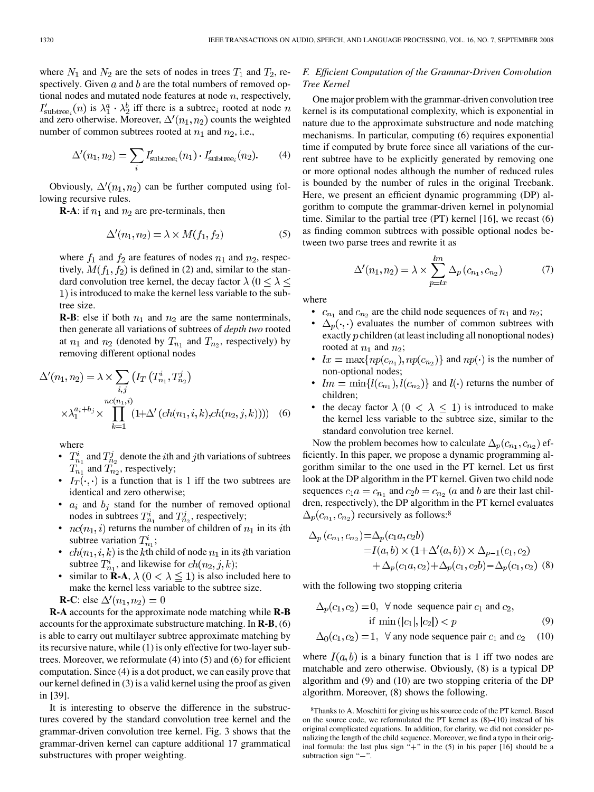where  $N_1$  and  $N_2$  are the sets of nodes in trees  $T_1$  and  $T_2$ , respectively. Given  $a$  and  $b$  are the total numbers of removed optional nodes and mutated node features at node  $n$ , respectively,  $I'_{\text{subtree}_i}(n)$  is  $\lambda_1^a \cdot \lambda_2^b$  iff there is a subtree<sub>i</sub> rooted at node n and zero otherwise. Moreover,  $\Delta'(n_1, n_2)$  counts the weighted number of common subtrees rooted at  $n_1$  and  $n_2$ , i.e.,

$$
\Delta'(n_1, n_2) = \sum_i I'_{\text{subtree}_i}(n_1) \cdot I'_{\text{subtree}_i}(n_2). \tag{4}
$$

Obviously,  $\Delta(n_1, n_2)$  can be further computed using following recursive rules.

**R-A**: if  $n_1$  and  $n_2$  are pre-terminals, then

$$
\Delta'(n_1, n_2) = \lambda \times M(f_1, f_2) \tag{5}
$$

where  $f_1$  and  $f_2$  are features of nodes  $n_1$  and  $n_2$ , respectively,  $M(f_1, f_2)$  is defined in (2) and, similar to the standard convolution tree kernel, the decay factor  $\lambda$  ( $0 \le \lambda \le$ 1) is introduced to make the kernel less variable to the subtree size.

**R-B**: else if both  $n_1$  and  $n_2$  are the same nonterminals, then generate all variations of subtrees of *depth two* rooted at  $n_1$  and  $n_2$  (denoted by  $T_{n_1}$  and  $T_{n_2}$ , respectively) by removing different optional nodes

$$
\Delta'(n_1, n_2) = \lambda \times \sum_{i,j} \left( I_T \left( T_{n_1}^i, T_{n_2}^j \right) \times \lambda_1^{a_i + b_j} \times \prod_{k=1}^{nc(n_1, i)} \left( 1 + \Delta'(ch(n_1, i, k), ch(n_2, j, k)) \right) \right)
$$
(6)

where

- $T_{n_1}^i$  and  $T_{n_2}^j$  denote the *i*th and *j*th variations of subtrees and  $T_{n_2}$ , respectively;
- $I_T(\cdot, \cdot)$  is a function that is 1 iff the two subtrees are identical and zero otherwise;
- $a_i$  and  $b_j$  stand for the number of removed optional nodes in subtrees  $T_{n_1}^i$  and  $T_{n_2}^j$ , respectively;
- $nc(n_1, i)$  returns the number of children of  $n_1$  in its *i*th subtree variation  $T_{n_1}^i$ ;
- $ch(n_1, i, k)$  is the kth child of node  $n_1$  in its *i*th variation subtree  $T_{n_1}^i$ , and likewise for  $ch(n_2, j, k)$ ;
- similar to **R-A**,  $\lambda$  ( $0 < \lambda \le 1$ ) is also included here to make the kernel less variable to the subtree size. **R-C**: else  $\Delta'(n_1, n_2) = 0$

**R-A** accounts for the approximate node matching while **R-B** accounts for the approximate substructure matching. In **R-B**, (6) is able to carry out multilayer subtree approximate matching by its recursive nature, while (1) is only effective for two-layer subtrees. Moreover, we reformulate (4) into (5) and (6) for efficient computation. Since (4) is a dot product, we can easily prove that our kernel defined in (3) is a valid kernel using the proof as given in [39].

It is interesting to observe the difference in the substructures covered by the standard convolution tree kernel and the grammar-driven convolution tree kernel. Fig. 3 shows that the grammar-driven kernel can capture additional 17 grammatical substructures with proper weighting.

# *F. Efficient Computation of the Grammar-Driven Convolution Tree Kernel*

One major problem with the grammar-driven convolution tree kernel is its computational complexity, which is exponential in nature due to the approximate substructure and node matching mechanisms. In particular, computing (6) requires exponential time if computed by brute force since all variations of the current subtree have to be explicitly generated by removing one or more optional nodes although the number of reduced rules is bounded by the number of rules in the original Treebank. Here, we present an efficient dynamic programming (DP) algorithm to compute the grammar-driven kernel in polynomial time. Similar to the partial tree (PT) kernel [16], we recast (6) as finding common subtrees with possible optional nodes between two parse trees and rewrite it as

$$
\Delta'(n_1, n_2) = \lambda \times \sum_{p=lx}^{lm} \Delta_p(c_{n_1}, c_{n_2})
$$
 (7)

where

- $c_{n_1}$  and  $c_{n_2}$  are the child node sequences of  $n_1$  and  $n_2$ ;
- $\Delta_p(\cdot, \cdot)$  evaluates the number of common subtrees with exactly  $p$  children (at least including all nonoptional nodes) rooted at  $n_1$  and  $n_2$ ;
- $lx = \max\{np(c_{n_1}), np(c_{n_2})\}$  and  $np(\cdot)$  is the number of non-optional nodes;
- $lm = \min\{l(c_{n_1}), l(c_{n_2})\}$  and  $l(\cdot)$  returns the number of children;
- the decay factor  $\lambda$  ( $0 < \lambda \leq 1$ ) is introduced to make the kernel less variable to the subtree size, similar to the standard convolution tree kernel.

Now the problem becomes how to calculate  $\Delta_p(c_{n_1}, c_{n_2})$  efficiently. In this paper, we propose a dynamic programming algorithm similar to the one used in the PT kernel. Let us first look at the DP algorithm in the PT kernel. Given two child node sequences  $c_1 a = c_{n_1}$  and  $c_2 b = c_{n_2}$  (a and b are their last children, respectively), the DP algorithm in the PT kernel evaluates  $\Delta_p(c_{n_1}, c_{n_2})$  recursively as follows:<sup>8</sup>

$$
\Delta_p(c_{n_1}, c_{n_2}) = \Delta_p(c_1a, c_2b)
$$
  
=  $I(a, b) \times (1 + \Delta'(a, b)) \times \Delta_{p-1}(c_1, c_2)$   
+  $\Delta_p(c_1a, c_2) + \Delta_p(c_1, c_2b) - \Delta_p(c_1, c_2)$  (8)

with the following two stopping criteria

$$
\Delta_p(c_1, c_2) = 0, \forall \text{ node sequence pair } c_1 \text{ and } c_2,
$$
  
if min(|c\_1|, |c\_2|) < p (9)

$$
\Delta_0(c_1, c_2) = 1
$$
,  $\forall$  any node sequence pair  $c_1$  and  $c_2$  (10)

where  $I(a, b)$  is a binary function that is 1 iff two nodes are matchable and zero otherwise. Obviously, (8) is a typical DP algorithm and (9) and (10) are two stopping criteria of the DP algorithm. Moreover, (8) shows the following.

<sup>8</sup>Thanks to A. Moschitti for giving us his source code of the PT kernel. Based on the source code, we reformulated the PT kernel as (8)–(10) instead of his original complicated equations. In addition, for clarity, we did not consider penalizing the length of the child sequence. Moreover, we find a typo in their original formula: the last plus sign "+" in the (5) in his paper [16] should be a original complicated of<br>nalizing the length of<br>inal formula: the last<br>subtraction sign "-".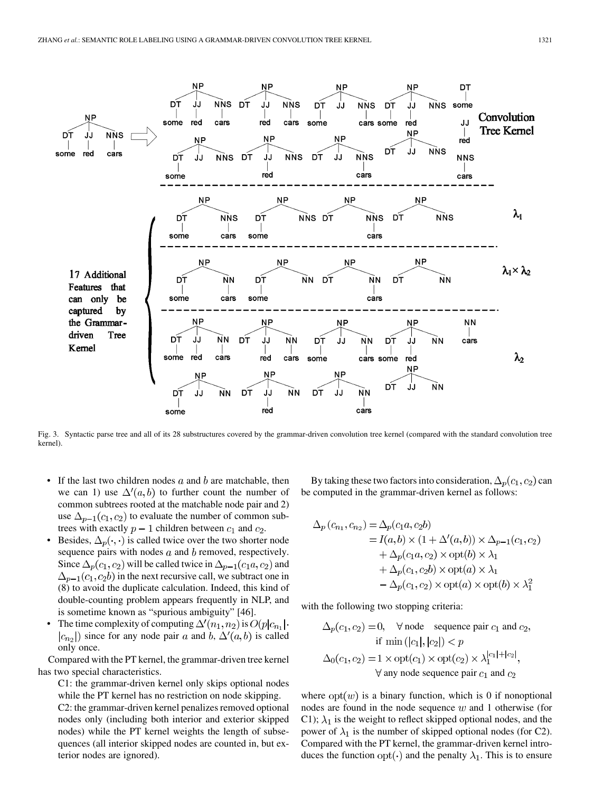

Fig. 3. Syntactic parse tree and all of its 28 substructures covered by the grammar-driven convolution tree kernel (compared with the standard convolution tree kernel).

- If the last two children nodes  $a$  and  $b$  are matchable, then we can 1) use  $\Delta'(a, b)$  to further count the number of common subtrees rooted at the matchable node pair and 2) use  $\Delta_{p-1}(c_1, c_2)$  to evaluate the number of common subtrees with exactly  $p-1$  children between  $c_1$  and  $c_2$ .
- Besides,  $\Delta_p(\cdot, \cdot)$  is called twice over the two shorter node sequence pairs with nodes  $a$  and  $b$  removed, respectively. Since  $\Delta_p(c_1, c_2)$  will be called twice in  $\Delta_{p-1}(c_1a, c_2)$  and  $\Delta_{p-1}(c_1, c_2b)$  in the next recursive call, we subtract one in (8) to avoid the duplicate calculation. Indeed, this kind of double-counting problem appears frequently in NLP, and is sometime known as "spurious ambiguity" [46].
- The time complexity of computing  $\Delta'(n_1, n_2)$  is  $O(p|c_{n_1}|$ .  $|c_{n_2}|$ ) since for any node pair a and b,  $\Delta'(a, b)$  is called only once.

Compared with the PT kernel, the grammar-driven tree kernel has two special characteristics.

C1: the grammar-driven kernel only skips optional nodes while the PT kernel has no restriction on node skipping.

C2: the grammar-driven kernel penalizes removed optional nodes only (including both interior and exterior skipped nodes) while the PT kernel weights the length of subsequences (all interior skipped nodes are counted in, but exterior nodes are ignored).

By taking these two factors into consideration,  $\Delta_p(c_1, c_2)$  can be computed in the grammar-driven kernel as follows:

$$
\Delta_p(c_{n_1}, c_{n_2}) = \Delta_p(c_1a, c_2b)
$$
  
=  $I(a, b) \times (1 + \Delta'(a, b)) \times \Delta_{p-1}(c_1, c_2)$   
 $+ \Delta_p(c_1a, c_2) \times \text{opt}(b) \times \lambda_1$   
 $+ \Delta_p(c_1, c_2b) \times \text{opt}(a) \times \lambda_1$   
 $- \Delta_p(c_1, c_2) \times \text{opt}(a) \times \text{opt}(b) \times \lambda_1^2$ 

with the following two stopping criteria:

$$
\Delta_p(c_1, c_2) = 0, \quad \forall \text{ node} \text{ sequence pair } c_1 \text{ and } c_2,
$$
  
if  $\min(|c_1|, |c_2|) < p$   

$$
\Delta_0(c_1, c_2) = 1 \times \text{opt}(c_1) \times \text{opt}(c_2) \times \lambda_1^{|c_1| + |c_2|},
$$
  
 $\forall \text{ any node sequence pair } c_1 \text{ and } c_2$ 

where  $opt(w)$  is a binary function, which is 0 if nonoptional nodes are found in the node sequence  $w$  and 1 otherwise (for C1);  $\lambda_1$  is the weight to reflect skipped optional nodes, and the power of  $\lambda_1$  is the number of skipped optional nodes (for C2). Compared with the PT kernel, the grammar-driven kernel introduces the function  $opt(\cdot)$  and the penalty  $\lambda_1$ . This is to ensure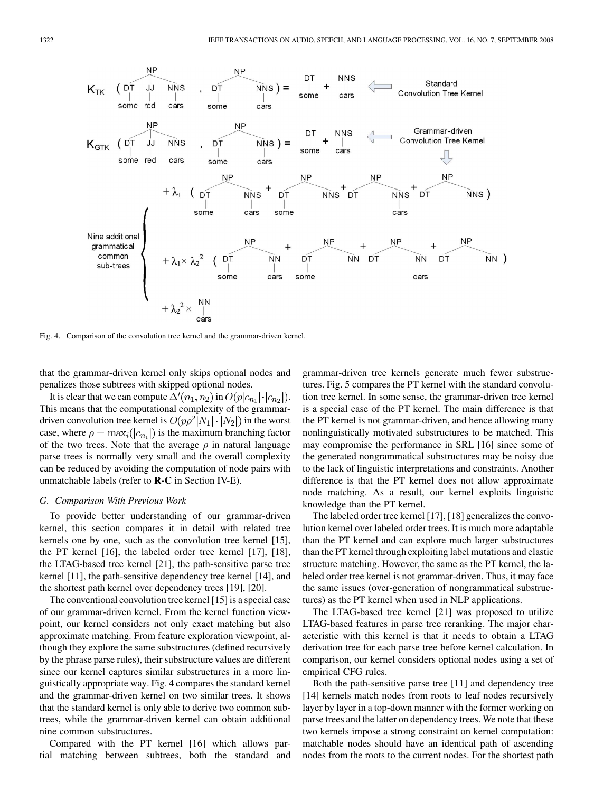

Fig. 4. Comparison of the convolution tree kernel and the grammar-driven kernel.

that the grammar-driven kernel only skips optional nodes and penalizes those subtrees with skipped optional nodes.

It is clear that we can compute  $\Delta'(n_1, n_2)$  in  $O(p|c_{n_1}|.|c_{n_2}|)$ . This means that the computational complexity of the grammardriven convolution tree kernel is  $O(p\rho^2|N_1|\cdot|N_2|)$  in the worst case, where  $\rho = \max_i(|c_{n_i}|)$  is the maximum branching factor of the two trees. Note that the average  $\rho$  in natural language parse trees is normally very small and the overall complexity can be reduced by avoiding the computation of node pairs with unmatchable labels (refer to **R-C** in Section IV-E).

### *G. Comparison With Previous Work*

To provide better understanding of our grammar-driven kernel, this section compares it in detail with related tree kernels one by one, such as the convolution tree kernel [15], the PT kernel [16], the labeled order tree kernel [17], [18], the LTAG-based tree kernel [21], the path-sensitive parse tree kernel [11], the path-sensitive dependency tree kernel [14], and the shortest path kernel over dependency trees [19], [20].

The conventional convolution tree kernel [15] is a special case of our grammar-driven kernel. From the kernel function viewpoint, our kernel considers not only exact matching but also approximate matching. From feature exploration viewpoint, although they explore the same substructures (defined recursively by the phrase parse rules), their substructure values are different since our kernel captures similar substructures in a more linguistically appropriate way. Fig. 4 compares the standard kernel and the grammar-driven kernel on two similar trees. It shows that the standard kernel is only able to derive two common subtrees, while the grammar-driven kernel can obtain additional nine common substructures.

Compared with the PT kernel [16] which allows partial matching between subtrees, both the standard and grammar-driven tree kernels generate much fewer substructures. Fig. 5 compares the PT kernel with the standard convolution tree kernel. In some sense, the grammar-driven tree kernel is a special case of the PT kernel. The main difference is that the PT kernel is not grammar-driven, and hence allowing many nonlinguistically motivated substructures to be matched. This may compromise the performance in SRL [16] since some of the generated nongrammatical substructures may be noisy due to the lack of linguistic interpretations and constraints. Another difference is that the PT kernel does not allow approximate node matching. As a result, our kernel exploits linguistic knowledge than the PT kernel.

The labeled order tree kernel [17], [18] generalizes the convolution kernel over labeled order trees. It is much more adaptable than the PT kernel and can explore much larger substructures than the PT kernel through exploiting label mutations and elastic structure matching. However, the same as the PT kernel, the labeled order tree kernel is not grammar-driven. Thus, it may face the same issues (over-generation of nongrammatical substructures) as the PT kernel when used in NLP applications.

The LTAG-based tree kernel [21] was proposed to utilize LTAG-based features in parse tree reranking. The major characteristic with this kernel is that it needs to obtain a LTAG derivation tree for each parse tree before kernel calculation. In comparison, our kernel considers optional nodes using a set of empirical CFG rules.

Both the path-sensitive parse tree [11] and dependency tree [14] kernels match nodes from roots to leaf nodes recursively layer by layer in a top-down manner with the former working on parse trees and the latter on dependency trees. We note that these two kernels impose a strong constraint on kernel computation: matchable nodes should have an identical path of ascending nodes from the roots to the current nodes. For the shortest path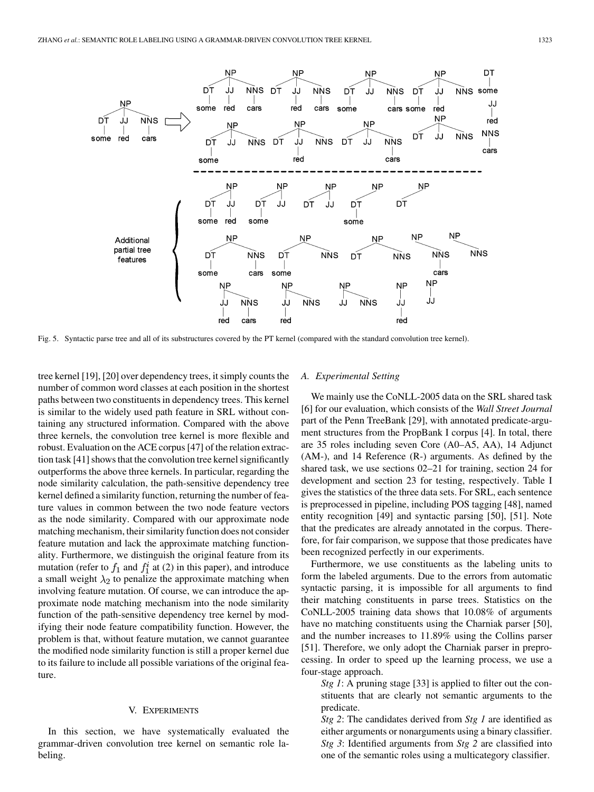

Fig. 5. Syntactic parse tree and all of its substructures covered by the PT kernel (compared with the standard convolution tree kernel).

tree kernel [19], [20] over dependency trees, it simply counts the number of common word classes at each position in the shortest paths between two constituents in dependency trees. This kernel is similar to the widely used path feature in SRL without containing any structured information. Compared with the above three kernels, the convolution tree kernel is more flexible and robust. Evaluation on the ACE corpus [47] of the relation extraction task [41] shows that the convolution tree kernel significantly outperforms the above three kernels. In particular, regarding the node similarity calculation, the path-sensitive dependency tree kernel defined a similarity function, returning the number of feature values in common between the two node feature vectors as the node similarity. Compared with our approximate node matching mechanism, their similarity function does not consider feature mutation and lack the approximate matching functionality. Furthermore, we distinguish the original feature from its mutation (refer to  $f_1$  and  $f_1^i$  at (2) in this paper), and introduce a small weight  $\lambda_2$  to penalize the approximate matching when involving feature mutation. Of course, we can introduce the approximate node matching mechanism into the node similarity function of the path-sensitive dependency tree kernel by modifying their node feature compatibility function. However, the problem is that, without feature mutation, we cannot guarantee the modified node similarity function is still a proper kernel due to its failure to include all possible variations of the original feature.

# V. EXPERIMENTS

In this section, we have systematically evaluated the grammar-driven convolution tree kernel on semantic role labeling.

### *A. Experimental Setting*

We mainly use the CoNLL-2005 data on the SRL shared task [6] for our evaluation, which consists of the *Wall Street Journal* part of the Penn TreeBank [29], with annotated predicate-argument structures from the PropBank I corpus [4]. In total, there are 35 roles including seven Core (A0–A5, AA), 14 Adjunct (AM-), and 14 Reference (R-) arguments. As defined by the shared task, we use sections 02–21 for training, section 24 for development and section 23 for testing, respectively. Table I gives the statistics of the three data sets. For SRL, each sentence is preprocessed in pipeline, including POS tagging [48], named entity recognition [49] and syntactic parsing [50], [51]. Note that the predicates are already annotated in the corpus. Therefore, for fair comparison, we suppose that those predicates have been recognized perfectly in our experiments.

Furthermore, we use constituents as the labeling units to form the labeled arguments. Due to the errors from automatic syntactic parsing, it is impossible for all arguments to find their matching constituents in parse trees. Statistics on the CoNLL-2005 training data shows that 10.08% of arguments have no matching constituents using the Charniak parser [50], and the number increases to 11.89% using the Collins parser [51]. Therefore, we only adopt the Charniak parser in preprocessing. In order to speed up the learning process, we use a four-stage approach.

*Stg 1*: A pruning stage [33] is applied to filter out the constituents that are clearly not semantic arguments to the predicate.

*Stg 2*: The candidates derived from *Stg 1* are identified as either arguments or nonarguments using a binary classifier. *Stg 3*: Identified arguments from *Stg 2* are classified into one of the semantic roles using a multicategory classifier.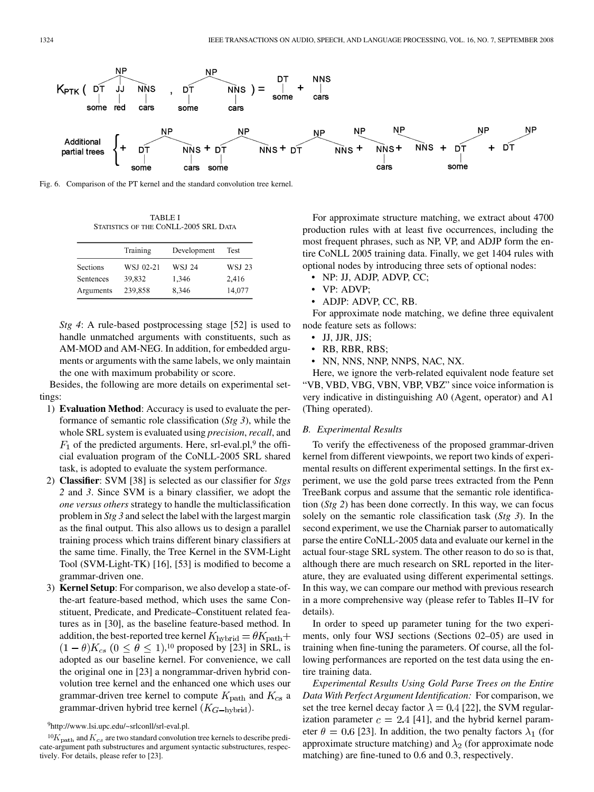

Fig. 6. Comparison of the PT kernel and the standard convolution tree kernel.

TABLE I STATISTICS OF THE CONLL-2005 SRL DATA

|           | Training  | Development   | <b>Test</b> |
|-----------|-----------|---------------|-------------|
| Sections  | WSJ 02-21 | <b>WSJ 24</b> | WSJ 23      |
| Sentences | 39,832    | 1,346         | 2,416       |
| Arguments | 239,858   | 8,346         | 14,077      |

*Stg 4*: A rule-based postprocessing stage [52] is used to handle unmatched arguments with constituents, such as AM-MOD and AM-NEG. In addition, for embedded arguments or arguments with the same labels, we only maintain the one with maximum probability or score.

Besides, the following are more details on experimental settings:

- 1) **Evaluation Method**: Accuracy is used to evaluate the performance of semantic role classification (*Stg 3*), while the whole SRL system is evaluated using *precision*, *recall*, and  $F_1$  of the predicted arguments. Here, srl-eval.pl,<sup>9</sup> the official evaluation program of the CoNLL-2005 SRL shared task, is adopted to evaluate the system performance.
- 2) **Classifier**: SVM [38] is selected as our classifier for *Stgs 2* and *3*. Since SVM is a binary classifier, we adopt the *one versus others* strategy to handle the multiclassification problem in *Stg 3* and select the label with the largest margin as the final output. This also allows us to design a parallel training process which trains different binary classifiers at the same time. Finally, the Tree Kernel in the SVM-Light Tool (SVM-Light-TK) [16], [53] is modified to become a grammar-driven one.
- 3) **Kernel Setup**: For comparison, we also develop a state-ofthe-art feature-based method, which uses the same Constituent, Predicate, and Predicate–Constituent related features as in [30], as the baseline feature-based method. In addition, the best-reported tree kernel  $K_{\text{hybrid}} = \theta K_{\text{path}} +$  $(1-\theta)K_{cs}$   $(0 \le \theta \le 1)$ ,<sup>10</sup> proposed by [23] in SRL, is adopted as our baseline kernel. For convenience, we call the original one in [23] a nongrammar-driven hybrid convolution tree kernel and the enhanced one which uses our grammar-driven tree kernel to compute  $K_{\text{path}}$  and  $K_{cs}$  a grammar-driven hybrid tree kernel  $(K_{G-\text{hybrid}})$ .

For approximate structure matching, we extract about 4700 production rules with at least five occurrences, including the most frequent phrases, such as NP, VP, and ADJP form the entire CoNLL 2005 training data. Finally, we get 1404 rules with optional nodes by introducing three sets of optional nodes:

- NP: JJ, ADJP, ADVP, CC;
- VP: ADVP;
- ADJP: ADVP, CC, RB.

For approximate node matching, we define three equivalent node feature sets as follows:

- JJ, JJR, JJS;
- RB, RBR, RBS;
- NN, NNS, NNP, NNPS, NAC, NX.

Here, we ignore the verb-related equivalent node feature set "VB, VBD, VBG, VBN, VBP, VBZ" since voice information is very indicative in distinguishing A0 (Agent, operator) and A1 (Thing operated).

# *B. Experimental Results*

To verify the effectiveness of the proposed grammar-driven kernel from different viewpoints, we report two kinds of experimental results on different experimental settings. In the first experiment, we use the gold parse trees extracted from the Penn TreeBank corpus and assume that the semantic role identification (*Stg 2*) has been done correctly. In this way, we can focus solely on the semantic role classification task (*Stg 3*). In the second experiment, we use the Charniak parser to automatically parse the entire CoNLL-2005 data and evaluate our kernel in the actual four-stage SRL system. The other reason to do so is that, although there are much research on SRL reported in the literature, they are evaluated using different experimental settings. In this way, we can compare our method with previous research in a more comprehensive way (please refer to Tables II–IV for details).

In order to speed up parameter tuning for the two experiments, only four WSJ sections (Sections 02–05) are used in training when fine-tuning the parameters. Of course, all the following performances are reported on the test data using the entire training data.

*Experimental Results Using Gold Parse Trees on the Entire Data With Perfect Argument Identification:* For comparison, we set the tree kernel decay factor  $\lambda = 0.4$  [22], the SVM regularization parameter  $c = 2.4$  [41], and the hybrid kernel parameter  $\theta = 0.6$  [23]. In addition, the two penalty factors  $\lambda_1$  (for approximate structure matching) and  $\lambda_2$  (for approximate node matching) are fine-tuned to 0.6 and 0.3, respectively.

<sup>9</sup>http://www.lsi.upc.edu/~srlconll/srl-eval.pl.

 $^{10}K_{\rm path}$  and  $K_{cs}$  are two standard convolution tree kernels to describe predicate-argument path substructures and argument syntactic substructures, respectively. For details, please refer to [23].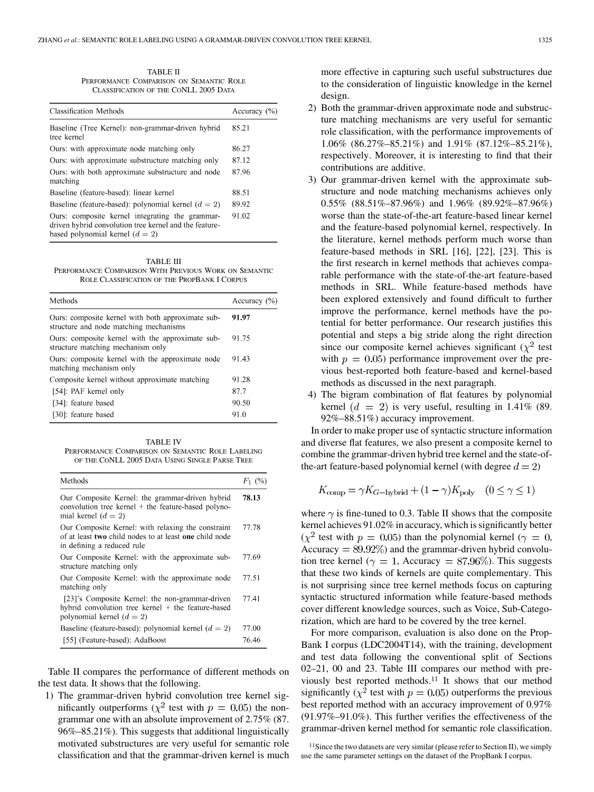TABLE II PERFORMANCE COMPARISON ON SEMANTIC ROLE CLASSIFICATION OF THE CONLL 2005 DATA

| <b>Classification Methods</b>                                                                                                                  | Accuracy (%) |  |
|------------------------------------------------------------------------------------------------------------------------------------------------|--------------|--|
| Baseline (Tree Kernel): non-grammar-driven hybrid<br>tree kernel                                                                               | 85.21        |  |
| Ours: with approximate node matching only                                                                                                      | 86.27        |  |
| Ours: with approximate substructure matching only                                                                                              | 87.12        |  |
| Ours: with both approximate substructure and node<br>matching                                                                                  | 87.96        |  |
| Baseline (feature-based): linear kernel                                                                                                        | 88.51        |  |
| Baseline (feature-based): polynomial kernel ( $d = 2$ )                                                                                        | 89.92        |  |
| Ours: composite kernel integrating the grammar-<br>driven hybrid convolution tree kernel and the feature-<br>based polynomial kernel $(d = 2)$ | 91.02        |  |

TABLE III

PERFORMANCE COMPARISON WITH PREVIOUS WORK ON SEMANTIC ROLE CLASSIFICATION OF THE PROPBANK I CORPUS

| Methods                                                                                     | Accuracy $(\% )$ |
|---------------------------------------------------------------------------------------------|------------------|
| Ours: composite kernel with both approximate sub-<br>structure and node matching mechanisms | 91.97            |
| Ours: composite kernel with the approximate sub-<br>structure matching mechanism only       | 91.75            |
| Ours: composite kernel with the approximate node<br>matching mechanism only                 | 91.43            |
| Composite kernel without approximate matching                                               | 91.28            |
| [54]: PAF kernel only                                                                       | 87.7             |
| [34]: feature based                                                                         | 90.50            |
| [30]: feature based                                                                         | 91.0             |

#### TABLE IV

PERFORMANCE COMPARISON ON SEMANTIC ROLE LABELING OF THE CONLL 2005 DATA USING SINGLE PARSE TREE

| Methods                                                                                                                                                  | $F_1(%)$ |
|----------------------------------------------------------------------------------------------------------------------------------------------------------|----------|
| Our Composite Kernel: the grammar-driven hybrid<br>convolution tree kernel + the feature-based polyno-<br>mial kernel $(d = 2)$                          | 78.13    |
| Our Composite Kernel: with relaxing the constraint<br>of at least <b>two</b> child nodes to at least <b>one</b> child node<br>in defining a reduced rule | 77.78    |
| Our Composite Kernel: with the approximate sub-<br>structure matching only                                                                               | 77.69    |
| Our Composite Kernel: with the approximate node<br>matching only                                                                                         | 77.51    |
| [23]'s Composite Kernel: the non-grammar-driven<br>hybrid convolution tree kernel + the feature-based<br>polynomial kernel $(d = 2)$                     | 77.41    |
| Baseline (feature-based): polynomial kernel ( $d = 2$ )                                                                                                  | 77.00    |
| [55] (Feature-based): AdaBoost                                                                                                                           | 76.46    |

Table II compares the performance of different methods on the test data. It shows that the following.

1) The grammar-driven hybrid convolution tree kernel significantly outperforms ( $\chi^2$  test with  $p = 0.05$ ) the nongrammar one with an absolute improvement of 2.75% (87. 96%–85.21%). This suggests that additional linguistically motivated substructures are very useful for semantic role classification and that the grammar-driven kernel is much more effective in capturing such useful substructures due to the consideration of linguistic knowledge in the kernel design.

- 2) Both the grammar-driven approximate node and substructure matching mechanisms are very useful for semantic role classification, with the performance improvements of 1.06% (86.27%–85.21%) and 1.91% (87.12%–85.21%), respectively. Moreover, it is interesting to find that their contributions are additive.
- 3) Our grammar-driven kernel with the approximate substructure and node matching mechanisms achieves only 0.55% (88.51%–87.96%) and 1.96% (89.92%–87.96%) worse than the state-of-the-art feature-based linear kernel and the feature-based polynomial kernel, respectively. In the literature, kernel methods perform much worse than feature-based methods in SRL [16], [22], [23]. This is the first research in kernel methods that achieves comparable performance with the state-of-the-art feature-based methods in SRL. While feature-based methods have been explored extensively and found difficult to further improve the performance, kernel methods have the potential for better performance. Our research justifies this potential and steps a big stride along the right direction since our composite kernel achieves significant ( $\chi^2$  test with  $p = 0.05$ ) performance improvement over the previous best-reported both feature-based and kernel-based methods as discussed in the next paragraph.
- 4) The bigram combination of flat features by polynomial kernel  $(d = 2)$  is very useful, resulting in 1.41% (89. 92%–88.51%) accuracy improvement.

In order to make proper use of syntactic structure information and diverse flat features, we also present a composite kernel to combine the grammar-driven hybrid tree kernel and the state-ofthe-art feature-based polynomial kernel (with degree  $d = 2$ )

$$
K_{\text{comp}} = \gamma K_{G-\text{hybrid}} + (1 - \gamma) K_{\text{poly}} \quad (0 \le \gamma \le 1)
$$

where  $\gamma$  is fine-tuned to 0.3. Table II shows that the composite kernel achieves 91.02% in accuracy, which is significantly better  $(\chi^2$  test with  $p = 0.05$ ) than the polynomial kernel ( $\gamma = 0$ , Accuracy  $= 89.92\%$ ) and the grammar-driven hybrid convolution tree kernel ( $\gamma = 1$ , Accuracy = 87.96%). This suggests that these two kinds of kernels are quite complementary. This is not surprising since tree kernel methods focus on capturing syntactic structured information while feature-based methods cover different knowledge sources, such as Voice, Sub-Categorization, which are hard to be covered by the tree kernel.

For more comparison, evaluation is also done on the Prop-Bank I corpus (LDC2004T14), with the training, development and test data following the conventional split of Sections 02–21, 00 and 23. Table III compares our method with previously best reported methods.11 It shows that our method significantly ( $\chi^2$  test with  $p = 0.05$ ) outperforms the previous best reported method with an accuracy improvement of 0.97% (91.97%–91.0%). This further verifies the effectiveness of the grammar-driven kernel method for semantic role classification.

<sup>&</sup>lt;sup>11</sup>Since the two datasets are very similar (please refer to Section II), we simply use the same parameter settings on the dataset of the PropBank I corpus.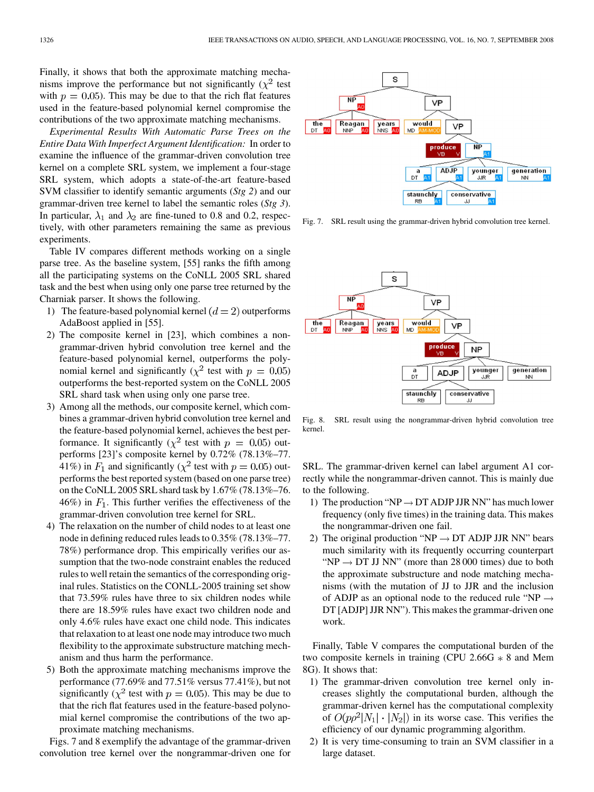Finally, it shows that both the approximate matching mechanisms improve the performance but not significantly  $(\chi^2$  test with  $p = 0.05$ ). This may be due to that the rich flat features used in the feature-based polynomial kernel compromise the contributions of the two approximate matching mechanisms.

*Experimental Results With Automatic Parse Trees on the Entire Data With Imperfect Argument Identification:* In order to examine the influence of the grammar-driven convolution tree kernel on a complete SRL system, we implement a four-stage SRL system, which adopts a state-of-the-art feature-based SVM classifier to identify semantic arguments (*Stg 2*) and our grammar-driven tree kernel to label the semantic roles (*Stg 3*). In particular,  $\lambda_1$  and  $\lambda_2$  are fine-tuned to 0.8 and 0.2, respectively, with other parameters remaining the same as previous experiments.

Table IV compares different methods working on a single parse tree. As the baseline system, [55] ranks the fifth among all the participating systems on the CoNLL 2005 SRL shared task and the best when using only one parse tree returned by the Charniak parser. It shows the following.

- 1) The feature-based polynomial kernel  $(d = 2)$  outperforms AdaBoost applied in [55].
- 2) The composite kernel in [23], which combines a nongrammar-driven hybrid convolution tree kernel and the feature-based polynomial kernel, outperforms the polynomial kernel and significantly ( $\chi^2$  test with  $p = 0.05$ ) outperforms the best-reported system on the CoNLL 2005 SRL shard task when using only one parse tree.
- 3) Among all the methods, our composite kernel, which combines a grammar-driven hybrid convolution tree kernel and the feature-based polynomial kernel, achieves the best performance. It significantly ( $\chi^2$  test with  $p = 0.05$ ) outperforms [23]'s composite kernel by 0.72% (78.13%–77. 41%) in  $F_1$  and significantly ( $\chi^2$  test with  $p = 0.05$ ) outperforms the best reported system (based on one parse tree) on the CoNLL 2005 SRL shard task by 1.67% (78.13%–76. 46%) in  $F_1$ . This further verifies the effectiveness of the grammar-driven convolution tree kernel for SRL.
- 4) The relaxation on the number of child nodes to at least one node in defining reduced rules leads to 0.35% (78.13%–77. 78%) performance drop. This empirically verifies our assumption that the two-node constraint enables the reduced rules to well retain the semantics of the corresponding original rules. Statistics on the CONLL-2005 training set show that 73.59% rules have three to six children nodes while there are 18.59% rules have exact two children node and only 4.6% rules have exact one child node. This indicates that relaxation to at least one node may introduce two much flexibility to the approximate substructure matching mechanism and thus harm the performance.
- 5) Both the approximate matching mechanisms improve the performance (77.69% and 77.51% versus 77.41%), but not significantly ( $\chi^2$  test with  $p = 0.05$ ). This may be due to that the rich flat features used in the feature-based polynomial kernel compromise the contributions of the two approximate matching mechanisms.

Figs. 7 and 8 exemplify the advantage of the grammar-driven convolution tree kernel over the nongrammar-driven one for



Fig. 7. SRL result using the grammar-driven hybrid convolution tree kernel.



Fig. 8. SRL result using the nongrammar-driven hybrid convolution tree kernel.

SRL. The grammar-driven kernel can label argument A1 correctly while the nongrammar-driven cannot. This is mainly due to the following.

- 1) The production "NP  $\rightarrow$  DT ADJP JJR NN" has much lower frequency (only five times) in the training data. This makes the nongrammar-driven one fail.
- 2) The original production "NP  $\rightarrow$  DT ADJP JJR NN" bears much similarity with its frequently occurring counterpart "NP  $\rightarrow$  DT JJ NN" (more than 28 000 times) due to both the approximate substructure and node matching mechanisms (with the mutation of JJ to JJR and the inclusion of ADJP as an optional node to the reduced rule "NP  $\rightarrow$ DT [ADJP] JJR NN"). This makes the grammar-driven one work.

Finally, Table V compares the computational burden of the two composite kernels in training (CPU 2.66G  $*$  8 and Mem 8G). It shows that:

- 1) The grammar-driven convolution tree kernel only increases slightly the computational burden, although the grammar-driven kernel has the computational complexity of  $O(p\rho^2|N_1|\cdot|N_2|)$  in its worse case. This verifies the efficiency of our dynamic programming algorithm.
- 2) It is very time-consuming to train an SVM classifier in a large dataset.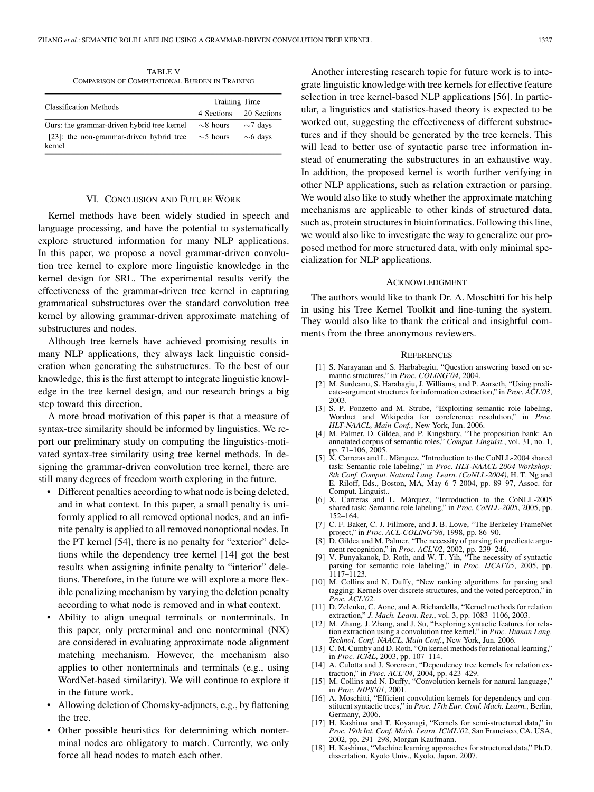TABLE V COMPARISON OF COMPUTATIONAL BURDEN IN TRAINING

| <b>Classification Methods</b>                      | Training Time  |               |
|----------------------------------------------------|----------------|---------------|
|                                                    | 4 Sections     | 20 Sections   |
| Ours: the grammar-driven hybrid tree kernel        | $\sim$ 8 hours | $\sim$ 7 davs |
| [23]: the non-grammar-driven hybrid tree<br>kernel | $\sim$ 5 hours | $\sim$ 6 davs |

# VI. CONCLUSION AND FUTURE WORK

Kernel methods have been widely studied in speech and language processing, and have the potential to systematically explore structured information for many NLP applications. In this paper, we propose a novel grammar-driven convolution tree kernel to explore more linguistic knowledge in the kernel design for SRL. The experimental results verify the effectiveness of the grammar-driven tree kernel in capturing grammatical substructures over the standard convolution tree kernel by allowing grammar-driven approximate matching of substructures and nodes.

Although tree kernels have achieved promising results in many NLP applications, they always lack linguistic consideration when generating the substructures. To the best of our knowledge, this is the first attempt to integrate linguistic knowledge in the tree kernel design, and our research brings a big step toward this direction.

A more broad motivation of this paper is that a measure of syntax-tree similarity should be informed by linguistics. We report our preliminary study on computing the linguistics-motivated syntax-tree similarity using tree kernel methods. In designing the grammar-driven convolution tree kernel, there are still many degrees of freedom worth exploring in the future.

- Different penalties according to what node is being deleted, and in what context. In this paper, a small penalty is uniformly applied to all removed optional nodes, and an infinite penalty is applied to all removed nonoptional nodes. In the PT kernel [54], there is no penalty for "exterior" deletions while the dependency tree kernel [14] got the best results when assigning infinite penalty to "interior" deletions. Therefore, in the future we will explore a more flexible penalizing mechanism by varying the deletion penalty according to what node is removed and in what context.
- Ability to align unequal terminals or nonterminals. In this paper, only preterminal and one nonterminal (NX) are considered in evaluating approximate node alignment matching mechanism. However, the mechanism also applies to other nonterminals and terminals (e.g., using WordNet-based similarity). We will continue to explore it in the future work.
- Allowing deletion of Chomsky-adjuncts, e.g., by flattening the tree.
- Other possible heuristics for determining which nonterminal nodes are obligatory to match. Currently, we only force all head nodes to match each other.

Another interesting research topic for future work is to integrate linguistic knowledge with tree kernels for effective feature selection in tree kernel-based NLP applications [56]. In particular, a linguistics and statistics-based theory is expected to be worked out, suggesting the effectiveness of different substructures and if they should be generated by the tree kernels. This will lead to better use of syntactic parse tree information instead of enumerating the substructures in an exhaustive way. In addition, the proposed kernel is worth further verifying in other NLP applications, such as relation extraction or parsing. We would also like to study whether the approximate matching mechanisms are applicable to other kinds of structured data, such as, protein structures in bioinformatics. Following this line, we would also like to investigate the way to generalize our proposed method for more structured data, with only minimal specialization for NLP applications.

## ACKNOWLEDGMENT

The authors would like to thank Dr. A. Moschitti for his help in using his Tree Kernel Toolkit and fine-tuning the system. They would also like to thank the critical and insightful comments from the three anonymous reviewers.

### **REFERENCES**

- [1] S. Narayanan and S. Harbabagiu, "Question answering based on semantic structures," in *Proc. COLING'04*, 2004.
- [2] M. Surdeanu, S. Harabagiu, J. Williams, and P. Aarseth, "Using predicate–argument structures for information extraction," in *Proc. ACL'03*, 2003.
- [3] S. P. Ponzetto and M. Strube, "Exploiting semantic role labeling, Wordnet and Wikipedia for coreference resolution," in *Proc. HLT-NAACL, Main Conf.*, New York, Jun. 2006.
- [4] M. Palmer, D. Gildea, and P. Kingsbury, "The proposition bank: An annotated corpus of semantic roles," *Comput. Linguist.*, vol. 31, no. 1, pp. 71–106, 2005.
- [5] X. Carreras and L. Màrquez, "Introduction to the CoNLL-2004 shared task: Semantic role labeling," in *Proc. HLT-NAACL 2004 Workshop: 8th Conf. Comput. Natural Lang. Learn. (CoNLL-2004)*, H. T. Ng and E. Riloff, Eds., Boston, MA, May 6–7 2004, pp. 89–97, Assoc. for Comput. Linguist..
- [6] X. Carreras and L. Màrquez, "Introduction to the CoNLL-2005 shared task: Semantic role labeling," in *Proc. CoNLL-2005*, 2005, pp. 152–164.
- [7] C. F. Baker, C. J. Fillmore, and J. B. Lowe, "The Berkeley FrameNet project," in *Proc. ACL-COLING'98*, 1998, pp. 86–90.
- [8] D. Gildea and M. Palmer, "The necessity of parsing for predicate argument recognition," in *Proc. ACL'02*, 2002, pp. 239–246.
- [9] V. Punyakanok, D. Roth, and W. T. Yih, "The necessity of syntactic parsing for semantic role labeling," in *Proc. IJCAI'05*, 2005, pp. 1117–1123.
- [10] M. Collins and N. Duffy, "New ranking algorithms for parsing and tagging: Kernels over discrete structures, and the voted perceptron," in *Proc. ACL'02*.
- [11] D. Zelenko, C. Aone, and A. Richardella, "Kernel methods for relation extraction," *J. Mach. Learn. Res.*, vol. 3, pp. 1083–1106, 2003.
- [12] M. Zhang, J. Zhang, and J. Su, "Exploring syntactic features for relation extraction using a convolution tree kernel," in *Proc. Human Lang. Technol. Conf. NAACL, Main Conf.*, New York, Jun. 2006.
- [13] C. M. Cumby and D. Roth, "On kernel methods for relational learning," in *Proc. ICML*, 2003, pp. 107–114.
- [14] A. Culotta and J. Sorensen, "Dependency tree kernels for relation extraction," in *Proc. ACL'04*, 2004, pp. 423–429.
- [15] M. Collins and N. Duffy, "Convolution kernels for natural language," in *Proc. NIPS'01*, 2001.
- [16] A. Moschitti, "Efficient convolution kernels for dependency and constituent syntactic trees," in *Proc. 17th Eur. Conf. Mach. Learn.*, Berlin, Germany, 2006.
- [17] H. Kashima and T. Koyanagi, "Kernels for semi-structured data," in *Proc. 19th Int. Conf. Mach. Learn. ICML'02*, San Francisco, CA, USA, 2002, pp. 291–298, Morgan Kaufmann.
- [18] H. Kashima, "Machine learning approaches for structured data," Ph.D. dissertation, Kyoto Univ., Kyoto, Japan, 2007.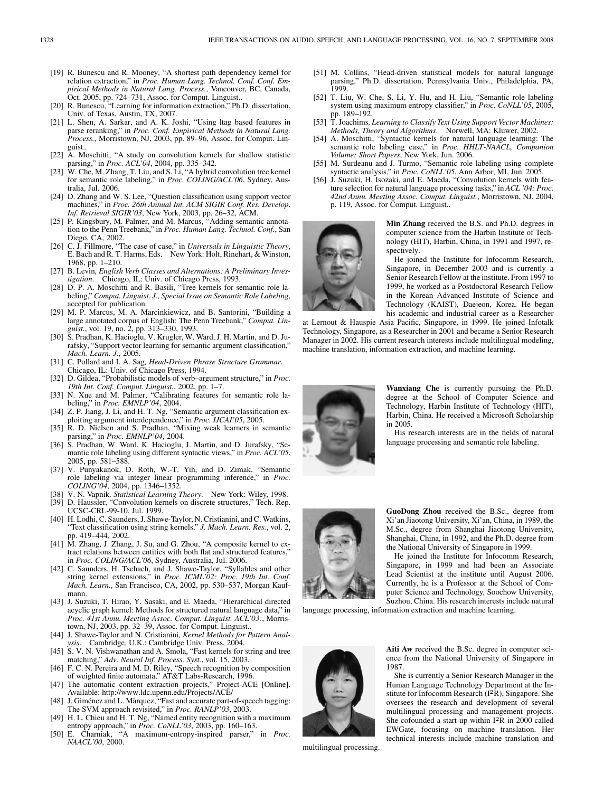- [19] R. Bunescu and R. Mooney, "A shortest path dependency kernel for relation extraction," in *Proc. Human Lang. Technol. Conf. Conf. Empirical Methods in Natural Lang. Process.*, Vancouver, BC, Canada, Oct. 2005, pp. 724–731, Assoc. for Comput. Linguist..
- [20] R. Bunescu, "Learning for information extraction," Ph.D. dissertation, Univ. of Texas, Austin, TX, 2007.
- [21] L. Shen, A. Sarkar, and A. K. Joshi, "Using ltag based features in parse reranking," in *Proc. Conf. Empirical Methods in Natural Lang. Process.*, Morristown, NJ, 2003, pp. 89–96, Assoc. for Comput. Linguist..
- [22] A. Moschitti, "A study on convolution kernels for shallow statistic parsing," in *Proc. ACL'04*, 2004, pp. 335–342.
- [23] W. Che, M. Zhang, T. Liu, and S. Li, "A hybrid convolution tree kernel for semantic role labeling," in *Proc. COLING/ACL'06*, Sydney, Australia, Jul. 2006.
- [24] D. Zhang and W. S. Lee, "Question classification using support vector machines," in *Proc. 26th Annual Int. ACM SIGIR Conf. Res. Develop. Inf. Retrieval SIGIR'03*, New York, 2003, pp. 26–32, ACM.
- [25] P. Kingsbury, M. Palmer, and M. Marcus, "Adding semantic annotation to the Penn Treebank," in *Proc. Human Lang. Technol. Conf.*, San Diego, CA, 2002.
- [26] C. J. Fillmore, "The case of case," in *Universals in Linguistic Theory*, E. Bach and R. T. Harms, Eds. New York: Holt, Rinehart, & Winston, 1968, pp. 1–210.
- [27] B. Levin*, English Verb Classes and Alternations: A Preliminary Investigation*. Chicago, IL: Univ. of Chicago Press, 1993.
- [28] D. P. A. Moschitti and R. Basili, "Tree kernels for semantic role labeling," *Comput. Linguist. J., Special Issue on Semantic Role Labeling*, accepted for publication.
- [29] M. P. Marcus, M. A. Marcinkiewicz, and B. Santorini, "Building a large annotated corpus of English: The Penn Treebank," *Comput. Linguist.*, vol. 19, no. 2, pp. 313–330, 1993.
- [30] S. Pradhan, K. Hacioglu, V. Krugler, W. Ward, J. H. Martin, and D. Jurafsky, "Support vector learning for semantic argument classification," *Mach. Learn. J.*, 2005.
- [31] C. Pollard and I. A. Sag*, Head-Driven Phrase Structure Grammar*. Chicago, IL: Univ. of Chicago Press, 1994.
- [32] D. Gildea, "Probabilistic models of verb–argument structure," in *Proc. 19th Int. Conf. Comput. Linguist.*, 2002, pp. 1–7.
- [33] N. Xue and M. Palmer, "Calibrating features for semantic role labeling," in *Proc. EMNLP'04*, 2004.
- [34] Z. P. Jiang, J. Li, and H. T. Ng, "Semantic argument classification exploiting argument interdependence," in *Proc. IJCAI'05*, 2005.
- [35] R. D. Nielsen and S. Pradhan, "Mixing weak learners in semantic parsing," in *Proc. EMNLP'04*, 2004.
- [36] S. Pradhan, W. Ward, K. Hacioglu, J. Martin, and D. Jurafsky, "Semantic role labeling using different syntactic views," in *Proc. ACL'05*, 2005, pp. 581–588.
- [37] V. Punyakanok, D. Roth, W.-T. Yih, and D. Zimak, "Semantic role labeling via integer linear programming inference," in *Proc. COLING'04*, 2004, pp. 1346–1352.
- [38] V. N. Vapnik*, Statistical Learning Theory*. New York: Wiley, 1998.
- [39] D. Haussler, "Convolution kernels on discrete structures," Tech. Rep. UCSC-CRL-99-10, Jul. 1999.
- [40] H. Lodhi, C. Saunders, J. Shawe-Taylor, N. Cristianini, and C. Watkins, "Text classification using string kernels," *J. Mach. Learn. Res.*, vol. 2, pp. 419–444, 2002.
- [41] M. Zhang, J. Zhang, J. Su, and G. Zhou, "A composite kernel to extract relations between entities with both flat and structured features," in *Proc. COLING/ACL'06*, Sydney, Australia, Jul. 2006.
- [42] C. Saunders, H. Tschach, and J. Shawe-Taylor, "Syllables and other string kernel extensions," in *Proc. ICML'02: Proc. 19th Int. Conf. Mach. Learn.*, San Francisco, CA, 2002, pp. 530–537, Morgan Kaufmann.
- [43] J. Suzuki, T. Hirao, Y. Sasaki, and E. Maeda, "Hierarchical directed acyclic graph kernel: Methods for structured natural language data," in *Proc. 41st Annu. Meeting Assoc. Comput. Linguist. ACL'03:*, Morristown, NJ, 2003, pp. 32–39, Assoc. for Comput. Linguist..
- [44] J. Shawe-Taylor and N. Cristianini*, Kernel Methods for Pattern Anal-*Cambridge, U.K.: Cambridge Univ. Press, 2004.
- [45] S. V. N. Vishwanathan and A. Smola, "Fast kernels for string and tree matching," *Adv. Neural Inf. Process. Syst.*, vol. 15, 2003.
- [46] F. C. N. Pereira and M. D. Riley, "Speech recognition by composition of weighted finite automata," AT&T Labs-Research, 1996.
- [47] The automatic content extraction projects," Project-ACE [Online]. Available: http://www.ldc.upenn.edu/Projects/ACE/
- [48] J. Giménez and L. Màrquez, "Fast and accurate part-of-speech tagging: The SVM approach revisited," in *Proc. RANLP'03*, 2003.
- [49] H. L. Chieu and H. T. Ng, "Named entity recognition with a maximum entropy approach," in *Proc. CoNLL'03*, 2003, pp. 160–163.
- [50] E. Charniak, "A maximum-entropy-inspired parser," in *Proc. NAACL'00*, 2000.
- [51] M. Collins, "Head-driven statistical models for natural language parsing," Ph.D. dissertation, Pennsylvania Univ., Philadelphia, PA, 1999.
- [52] T. Liu, W. Che, S. Li, Y. Hu, and H. Liu, "Semantic role labeling system using maximum entropy classifier," in *Proc. CoNLL'05*, 2005, pp. 189–192.
- [53] T. Joachims*, Learning to Classify Text Using Support Vector Machines: Methods, Theory and Algorithms*. Norwell, MA: Kluwer, 2002.
- [54] A. Moschitti, "Syntactic kernels for natural language learning: The semantic role labeling case," in *Proc. HHLT-NAACL, Companion Volume: Short Papers*, New York, Jun. 2006.
- [55] M. Surdeanu and J. Turmo, "Semantic role labeling using complete syntactic analysis," in *Proc. CoNLL'05*, Ann Arbor, MI, Jun. 2005.
- [56] J. Suzuki, H. Isozaki, and E. Maeda, "Convolution kernels with feature selection for natural language processing tasks," in *ACL '04: Proc. 42nd Annu. Meeting Assoc. Comput. Linguist.*, Morristown, NJ, 2004, p. 119, Assoc. for Comput. Linguist..



**Min Zhang** received the B.S. and Ph.D. degrees in computer science from the Harbin Institute of Technology (HIT), Harbin, China, in 1991 and 1997, respectively.

He joined the Institute for Infocomm Research, Singapore, in December 2003 and is currently a Senior Research Fellow at the institute. From 1997 to 1999, he worked as a Postdoctoral Research Fellow in the Korean Advanced Institute of Science and Technology (KAIST), Daejeon, Korea. He began his academic and industrial career as a Researcher

at Lernout & Hauspie Asia Pacific, Singapore, in 1999. He joined Infotalk Technology, Singapore, as a Researcher in 2001 and became a Senior Research Manager in 2002. His current research interests include multilingual modeling, machine translation, information extraction, and machine learning.



**Wanxiang Che** is currently pursuing the Ph.D. degree at the School of Computer Science and Technology, Harbin Institute of Technology (HIT), Harbin, China. He received a Microsoft Scholarship in 2005.

His research interests are in the fields of natural language processing and semantic role labeling.



**GuoDong Zhou** received the B.Sc., degree from Xi'an Jiaotong University, Xi'an, China, in 1989, the M.Sc., degree from Shanghai Jiaotong University, Shanghai, China, in 1992, and the Ph.D. degree from the National University of Singapore in 1999.

He joined the Institute for Infocomm Research, Singapore, in 1999 and had been an Associate Lead Scientist at the institute until August 2006. Currently, he is a Professor at the School of Computer Science and Technology, Soochow University, Suzhou, China. His research interests include natural

language processing, information extraction and machine learning.



multilingual processing.

**Aiti Aw** received the B.Sc. degree in computer science from the National University of Singapore in 1987.

She is currently a Senior Research Manager in the Human Language Technology Department at the Institute for Infocomm Research ( $I^2R$ ), Singapore. She oversees the research and development of several multilingual processing and management projects. She cofounded a start-up within  $I^2R$  in 2000 called EWGate, focusing on machine translation. Her technical interests include machine translation and